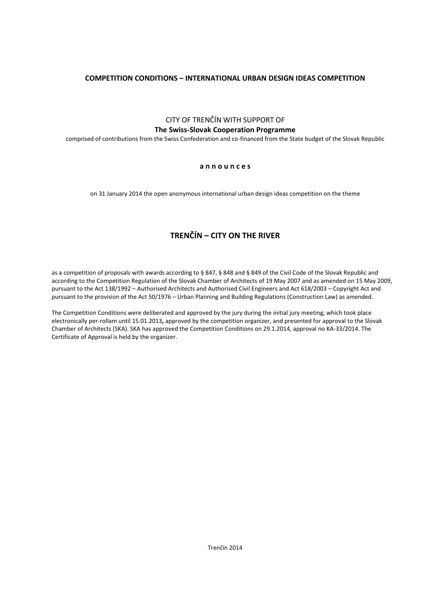# **COMPETITION CONDITIONS – INTERNATIONAL URBAN DESIGN IDEAS COMPETITION**

CITY OF TRENČÍN WITH SUPPORT OF **The Swiss-Slovak Cooperation Programme**

comprised of contributions from the Swiss Confederation and co-financed from the State budget of the Slovak Republic

# **a n n o u n c e s**

on 31 January 2014 the open anonymous international urban design ideas competition on the theme

# **TRENČÍN – CITY ON THE RIVER**

as a competition of proposals with awards according to § 847, § 848 and § 849 of the Civil Code of the Slovak Republic and according to the Competition Regulation of the Slovak Chamber of Architects of 19 May 2007 and as amended on 15 May 2009, pursuant to the Act 138/1992 – Authorised Architects and Authorised Civil Engineers and Act 618/2003 – Copyright Act and pursuant to the provision of the Act 50/1976 – Urban Planning and Building Regulations (Construction Law) as amended.

The Competition Conditions were deliberated and approved by the jury during the initial jury meeting, which took place electronically per-rollam until 15.01.2013**,** approved by the competition organizer, and presented for approval to the Slovak Chamber of Architects (SKA). SKA has approved the Competition Conditions on 29.1.2014, approval no KA-33/2014. The Certificate of Approval is held by the organizer.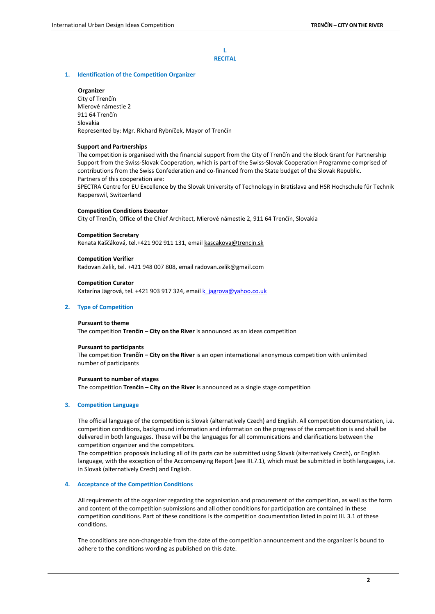**I. RECITAL**

## **1. Identification of the Competition Organizer**

# **Organizer**

City of Trenčín Mierové námestie 2 911 64 Trenčín Slovakia Represented by: Mgr. Richard Rybníček, Mayor of Trenčín

#### **Support and Partnerships**

The competition is organised with the financial support from the City of Trenčín and the Block Grant for Partnership Support from the Swiss-Slovak Cooperation, which is part of the Swiss-Slovak Cooperation Programme comprised of contributions from the Swiss Confederation and co-financed from the State budget of the Slovak Republic. Partners of this cooperation are:

SPECTRA Centre for EU Excellence by the Slovak University of Technology in Bratislava and HSR Hochschule für Technik Rapperswil, Switzerland

#### **Competition Conditions Executor**

City of Trenčín, Office of the Chief Architect, Mierové námestie 2, 911 64 Trenčín, Slovakia

#### **Competition Secretary**

Renata Kaščáková, tel.+421 902 911 131, email [kascakova@trencin.sk](mailto:kascakova@trencin.sk) 

#### **Competition Verifier**

Radovan Zelik, tel. +421 948 007 808, email [radovan.zelik@gmail.com](mailto:radovan.zelik@gmail.com)

#### **Competition Curator**

Katarína Jägrová, tel. +421 903 917 324, emai[l k\\_jagrova@yahoo.co.uk](mailto:k_jagrova@yahoo.co.uk)

# **2. Type of Competition**

#### **Pursuant to theme**

The competition **Trenčín – City on the River** is announced as an ideas competition

#### **Pursuant to participants**

The competition **Trenčín – City on the River** is an open international anonymous competition with unlimited number of participants

#### **Pursuant to number of stages**

The competition **Trenčín – City on the River** is announced as a single stage competition

#### **3. Competition Language**

The official language of the competition is Slovak (alternatively Czech) and English. All competition documentation, i.e. competition conditions, background information and information on the progress of the competition is and shall be delivered in both languages. These will be the languages for all communications and clarifications between the competition organizer and the competitors.

The competition proposals including all of its parts can be submitted using Slovak (alternatively Czech), or English language, with the exception of the Accompanying Report (see III.7.1), which must be submitted in both languages, i.e. in Slovak (alternatively Czech) and English.

# **4. Acceptance of the Competition Conditions**

All requirements of the organizer regarding the organisation and procurement of the competition, as well as the form and content of the competition submissions and all other conditions for participation are contained in these competition conditions. Part of these conditions is the competition documentation listed in point III. 3.1 of these conditions.

The conditions are non-changeable from the date of the competition announcement and the organizer is bound to adhere to the conditions wording as published on this date.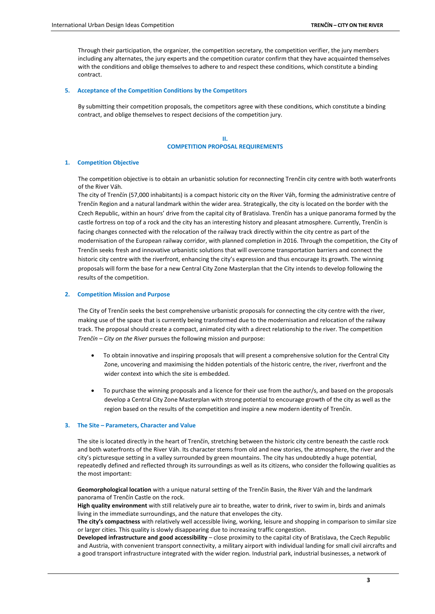Through their participation, the organizer, the competition secretary, the competition verifier, the jury members including any alternates, the jury experts and the competition curator confirm that they have acquainted themselves with the conditions and oblige themselves to adhere to and respect these conditions, which constitute a binding contract.

#### **5. Acceptance of the Competition Conditions by the Competitors**

By submitting their competition proposals, the competitors agree with these conditions, which constitute a binding contract, and oblige themselves to respect decisions of the competition jury.

> **II. COMPETITION PROPOSAL REQUIREMENTS**

#### **1. Competition Objective**

The competition objective is to obtain an urbanistic solution for reconnecting Trenčín city centre with both waterfronts of the River Váh.

The city of Trenčín (57,000 inhabitants) is a compact historic city on the River Váh, forming the administrative centre of Trenčín Region and a natural landmark within the wider area. Strategically, the city is located on the border with the Czech Republic, within an hours' drive from the capital city of Bratislava. Trenčín has a unique panorama formed by the castle fortress on top of a rock and the city has an interesting history and pleasant atmosphere. Currently, Trenčín is facing changes connected with the relocation of the railway track directly within the city centre as part of the modernisation of the European railway corridor, with planned completion in 2016. Through the competition, the City of Trenčín seeks fresh and innovative urbanistic solutions that will overcome transportation barriers and connect the historic city centre with the riverfront, enhancing the city's expression and thus encourage its growth. The winning proposals will form the base for a new Central City Zone Masterplan that the City intends to develop following the results of the competition.

#### **2. Competition Mission and Purpose**

The City of Trenčín seeks the best comprehensive urbanistic proposals for connecting the city centre with the river, making use of the space that is currently being transformed due to the modernisation and relocation of the railway track. The proposal should create a compact, animated city with a direct relationship to the river. The competition *Trenčín – City on the River* pursues the following mission and purpose:

- To obtain innovative and inspiring proposals that will present a comprehensive solution for the Central City Zone, uncovering and maximising the hidden potentials of the historic centre, the river, riverfront and the wider context into which the site is embedded
- To purchase the winning proposals and a licence for their use from the author/s, and based on the proposals develop a Central City Zone Masterplan with strong potential to encourage growth of the city as well as the region based on the results of the competition and inspire a new modern identity of Trenčín.

# **3. The Site – Parameters, Character and Value**

The site is located directly in the heart of Trenčín, stretching between the historic city centre beneath the castle rock and both waterfronts of the River Váh. Its character stems from old and new stories, the atmosphere, the river and the city's picturesque setting in a valley surrounded by green mountains. The city has undoubtedly a huge potential, repeatedly defined and reflected through its surroundings as well as its citizens, who consider the following qualities as the most important:

**Geomorphological location** with a unique natural setting of the Trenčín Basin, the River Váh and the landmark panorama of Trenčín Castle on the rock.

**High quality environment** with still relatively pure air to breathe, water to drink, river to swim in, birds and animals living in the immediate surroundings, and the nature that envelopes the city.

**The city's compactness** with relatively well accessible living, working, leisure and shopping in comparison to similar size or larger cities. This quality is slowly disappearing due to increasing traffic congestion.

**Developed infrastructure and good accessibility** – close proximity to the capital city of Bratislava, the Czech Republic and Austria, with convenient transport connectivity, a military airport with individual landing for small civil aircrafts and a good transport infrastructure integrated with the wider region. Industrial park, industrial businesses, a network of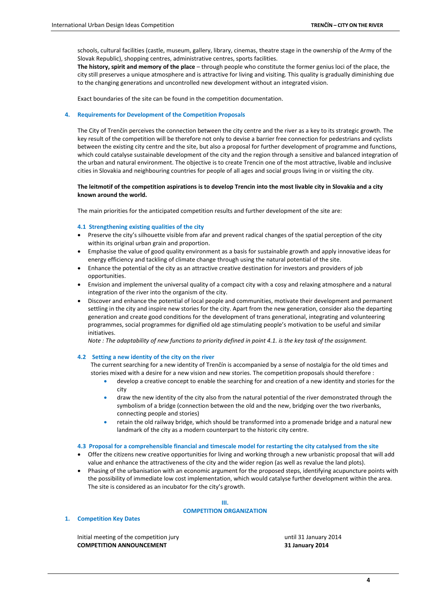schools, cultural facilities (castle, museum, gallery, library, cinemas, theatre stage in the ownership of the Army of the Slovak Republic), shopping centres, administrative centres, sports facilities.

**The history, spirit and memory of the place** – through people who constitute the former genius loci of the place, the city still preserves a unique atmosphere and is attractive for living and visiting. This quality is gradually diminishing due to the changing generations and uncontrolled new development without an integrated vision.

Exact boundaries of the site can be found in the competition documentation.

#### **4. Requirements for Development of the Competition Proposals**

The City of Trenčín perceives the connection between the city centre and the river as a key to its strategic growth. The key result of the competition will be therefore not only to devise a barrier free connection for pedestrians and cyclists between the existing city centre and the site, but also a proposal for further development of programme and functions, which could catalyse sustainable development of the city and the region through a sensitive and balanced integration of the urban and natural environment. The objective is to create Trencin one of the most attractive, livable and inclusive cities in Slovakia and neighbouring countries for people of all ages and social groups living in or visiting the city.

# **The leitmotif of the competition aspirations is to develop Trencin into the most livable city in Slovakia and a city known around the world.**

The main priorities for the anticipated competition results and further development of the site are:

#### **4.1 Strengthening existing qualities of the city**

- Preserve the city's silhouette visible from afar and prevent radical changes of the spatial perception of the city within its original urban grain and proportion.
- Emphasise the value of good quality environment as a basis for sustainable growth and apply innovative ideas for energy efficiency and tackling of climate change through using the natural potential of the site.
- Enhance the potential of the city as an attractive creative destination for investors and providers of job opportunities.
- Envision and implement the universal quality of a compact city with a cosy and relaxing atmosphere and a natural integration of the river into the organism of the city.
- Discover and enhance the potential of local people and communities, motivate their development and permanent settling in the city and inspire new stories for the city. Apart from the new generation, consider also the departing generation and create good conditions for the development of trans generational, integrating and volunteering programmes, social programmes for dignified old age stimulating people's motivation to be useful and similar initiatives.

*Note : The adaptability of new functions to priority defined in point 4.1. is the key task of the assignment.* 

#### **4.2 Setting a new identity of the city on the river**

The current searching for a new identity of Trenčín is accompanied by a sense of nostalgia for the old times and stories mixed with a desire for a new vision and new stories. The competition proposals should therefore :

- develop a creative concept to enable the searching for and creation of a new identity and stories for the city
- draw the new identity of the city also from the natural potential of the river demonstrated through the symbolism of a bridge (connection between the old and the new, bridging over the two riverbanks, connecting people and stories)
- retain the old railway bridge, which should be transformed into a promenade bridge and a natural new landmark of the city as a modern counterpart to the historic city centre.

#### **4.3 Proposal for a comprehensible financial and timescale model for restarting the city catalysed from the site**

- Offer the citizens new creative opportunities for living and working through a new urbanistic proposal that will add value and enhance the attractiveness of the city and the wider region (as well as revalue the land plots).
- Phasing of the urbanisation with an economic argument for the proposed steps, identifying acupuncture points with the possibility of immediate low cost implementation, which would catalyse further development within the area. The site is considered as an incubator for the city's growth.

# **III. COMPETITION ORGANIZATION**

#### **1. Competition Key Dates**

Initial meeting of the competition jury and the competition of the state of the competition jury until 31 January 2014 **COMPETITION ANNOUNCEMENT 31 January 2014**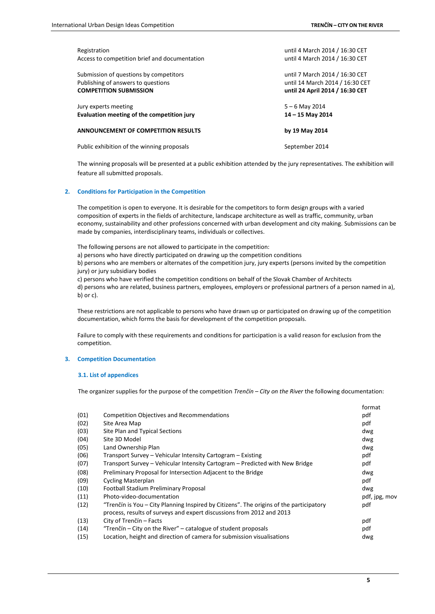| Registration                                  | until 4 March 2014 / 16:30 CET  |
|-----------------------------------------------|---------------------------------|
| Access to competition brief and documentation | until 4 March 2014 / 16:30 CET  |
| Submission of questions by competitors        | until 7 March 2014 / 16:30 CET  |
| Publishing of answers to questions            | until 14 March 2014 / 16:30 CET |
| <b>COMPETITION SUBMISSION</b>                 | until 24 April 2014 / 16:30 CET |
| Jury experts meeting                          | $5 - 6$ May 2014                |
| Evaluation meeting of the competition jury    | 14 - 15 May 2014                |
| ANNOUNCEMENT OF COMPETITION RESULTS           | by 19 May 2014                  |
| Public exhibition of the winning proposals    | September 2014                  |

The winning proposals will be presented at a public exhibition attended by the jury representatives. The exhibition will feature all submitted proposals.

# **2. Conditions for Participation in the Competition**

The competition is open to everyone. It is desirable for the competitors to form design groups with a varied composition of experts in the fields of architecture, landscape architecture as well as traffic, community, urban economy, sustainability and other professions concerned with urban development and city making. Submissions can be made by companies, interdisciplinary teams, individuals or collectives.

The following persons are not allowed to participate in the competition:

a) persons who have directly participated on drawing up the competition conditions

b) persons who are members or alternates of the competition jury, jury experts (persons invited by the competition jury) or jury subsidiary bodies

c) persons who have verified the competition conditions on behalf of the Slovak Chamber of Architects

d) persons who are related, business partners, employees, employers or professional partners of a person named in a), b) or c).

These restrictions are not applicable to persons who have drawn up or participated on drawing up of the competition documentation, which forms the basis for development of the competition proposals.

Failure to comply with these requirements and conditions for participation is a valid reason for exclusion from the competition.

#### **3. Competition Documentation**

## **3.1. List of appendices**

The organizer supplies for the purpose of the competition *Trenčín – City on the River* the following documentation:

|      |                                                                                                                                                                  | format        |
|------|------------------------------------------------------------------------------------------------------------------------------------------------------------------|---------------|
| (01) | <b>Competition Objectives and Recommendations</b>                                                                                                                | pdf           |
| (02) | Site Area Map                                                                                                                                                    | pdf           |
| (03) | Site Plan and Typical Sections                                                                                                                                   | dwg           |
| (04) | Site 3D Model                                                                                                                                                    | dwg           |
| (05) | Land Ownership Plan                                                                                                                                              | dwg           |
| (06) | Transport Survey - Vehicular Intensity Cartogram - Existing                                                                                                      | pdf           |
| (07) | Transport Survey – Vehicular Intensity Cartogram – Predicted with New Bridge                                                                                     | pdf           |
| (08) | Preliminary Proposal for Intersection Adjacent to the Bridge                                                                                                     | dwg           |
| (09) | <b>Cycling Masterplan</b>                                                                                                                                        | pdf           |
| (10) | Football Stadium Preliminary Proposal                                                                                                                            | dwg           |
| (11) | Photo-video-documentation                                                                                                                                        | pdf, jpg, mov |
| (12) | "Trenčín is You – City Planning Inspired by Citizens". The origins of the participatory<br>process, results of surveys and expert discussions from 2012 and 2013 | pdf           |
| (13) | City of Trenčín – Facts                                                                                                                                          | pdf           |
| (14) | "Trenčín – City on the River" – catalogue of student proposals                                                                                                   | pdf           |
| (15) | Location, height and direction of camera for submission visualisations                                                                                           | dwg           |
|      |                                                                                                                                                                  |               |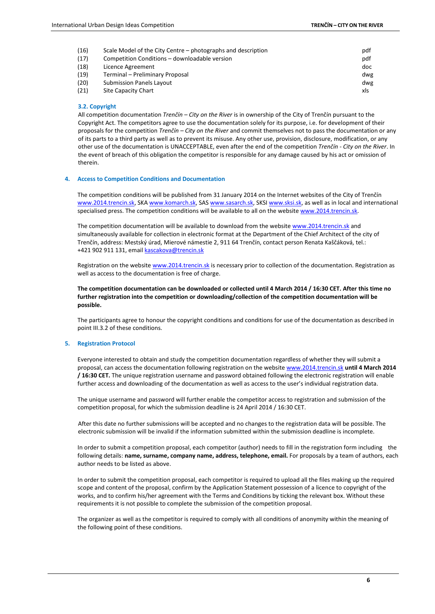| (16) | Scale Model of the City Centre – photographs and description | pdf |
|------|--------------------------------------------------------------|-----|
| (17) | Competition Conditions - downloadable version                | pdf |
| (18) | Licence Agreement                                            | doc |
| (19) | Terminal - Preliminary Proposal                              | dwg |
| (20) | <b>Submission Panels Layout</b>                              | dwg |
| (21) | Site Capacity Chart                                          | xls |

# **3.2. Copyright**

All competition documentation *Trenčín – City on the River* is in ownership of the City of Trenčín pursuant to the Copyright Act. The competitors agree to use the documentation solely for its purpose, i.e. for development of their proposals for the competition *Trenčín – City on the River* and commit themselves not to pass the documentation or any of its parts to a third party as well as to prevent its misuse. Any other use, provision, disclosure, modification, or any other use of the documentation is UNACCEPTABLE, even after the end of the competition *Trenčín - City on the River*. In the event of breach of this obligation the competitor is responsible for any damage caused by his act or omission of therein.

# **4. Access to Competition Conditions and Documentation**

The competition conditions will be published from 31 January 2014 on the Internet websites of the City of Trenčín [www.2014.trencin.sk,](http://www.trencinsity.sk/) SK[A www.komarch.sk,](http://www.komarch.sk/) SAS [www.sasarch.sk,](http://www.sasarch.sk/) SKS[I www.sksi.sk,](http://www.sksi.sk/) as well as in local and international specialised press. The competition conditions will be available to all on the website [www.2014.trencin.sk.](http://www.trencinsity.sk/)

The competition documentation will be available to download from the websit[e www.2014.trencin.sk](http://www.trencinsity.sk/) and simultaneously available for collection in electronic format at the Department of the Chief Architect of the city of Trenčín, address: Mestský úrad, Mierové námestie 2, 911 64 Trenčín, contact person Renata Kaščáková, tel.: +421 902 911 131, email [kascakova@trencin.sk](mailto:kascakova@trencin.sk)

Registration on the website [www.2014.trencin.sk](http://www.trencinsity.sk/) is necessary prior to collection of the documentation. Registration as well as access to the documentation is free of charge.

**The competition documentation can be downloaded or collected until 4 March 2014 / 16:30 CET. After this time no further registration into the competition or downloading/collection of the competition documentation will be possible.**

The participants agree to honour the copyright conditions and conditions for use of the documentation as described in point III.3.2 of these conditions.

#### **5. Registration Protocol**

Everyone interested to obtain and study the competition documentation regardless of whether they will submit a proposal, can access the documentation following registration on the websit[e www.2014.trencin.sk](http://www.trencinsity.sk/) **until 4 March 2014 / 16:30 CET.** The unique registration username and password obtained following the electronic registration will enable further access and downloading of the documentation as well as access to the user's individual registration data.

The unique username and password will further enable the competitor access to registration and submission of the competition proposal, for which the submission deadline is 24 April 2014 / 16:30 CET.

After this date no further submissions will be accepted and no changes to the registration data will be possible. The electronic submission will be invalid if the information submitted within the submission deadline is incomplete.

In order to submit a competition proposal, each competitor (author) needs to fill in the registration form including the following details: **name, surname, company name, address, telephone, email.** For proposals by a team of authors, each author needs to be listed as above.

In order to submit the competition proposal, each competitor is required to upload all the files making up the required scope and content of the proposal, confirm by the Application Statement possession of a licence to copyright of the works, and to confirm his/her agreement with the Terms and Conditions by ticking the relevant box. Without these requirements it is not possible to complete the submission of the competition proposal.

The organizer as well as the competitor is required to comply with all conditions of anonymity within the meaning of the following point of these conditions.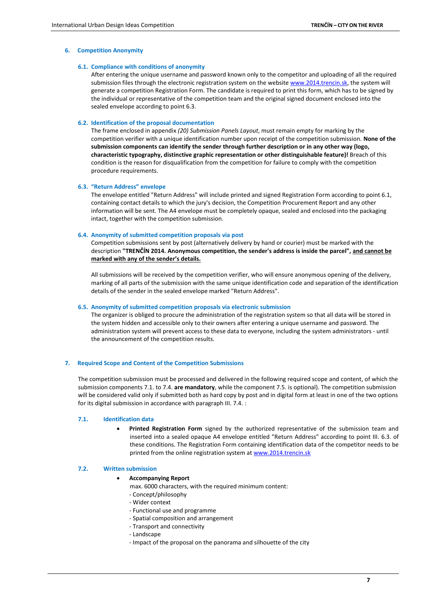# **6. Competition Anonymity**

## **6.1. Compliance with conditions of anonymity**

After entering the unique username and password known only to the competitor and uploading of all the required submission files through the electronic registration system on the website [www.2014.trencin.sk,](http://www.trencinsity.sk/) the system will generate a competition Registration Form. The candidate is required to print this form, which has to be signed by the individual or representative of the competition team and the original signed document enclosed into the sealed envelope according to point 6.3.

#### **6.2. Identification of the proposal documentation**

The frame enclosed in appendix *(20) Submission Panels Layout*, must remain empty for marking by the competition verifier with a unique identification number upon receipt of the competition submission. **None of the submission components can identify the sender through further description or in any other way (logo, characteristic typography, distinctive graphic representation or other distinguishable feature)!** Breach of this condition is the reason for disqualification from the competition for failure to comply with the competition procedure requirements.

# **6.3. "Return Address" envelope**

The envelope entitled "Return Address" will include printed and signed Registration Form according to point 6.1, containing contact details to which the jury's decision, the Competition Procurement Report and any other information will be sent. The A4 envelope must be completely opaque, sealed and enclosed into the packaging intact, together with the competition submission.

### **6.4. Anonymity of submitted competition proposals via post**

Competition submissions sent by post (alternatively delivery by hand or courier) must be marked with the description **"TRENČÍN 2014. Anonymous competition, the sender's address is inside the parcel", and cannot be marked with any of the sender's details.**

All submissions will be received by the competition verifier, who will ensure anonymous opening of the delivery, marking of all parts of the submission with the same unique identification code and separation of the identification details of the sender in the sealed envelope marked "Return Address".

## **6.5. Anonymity of submitted competition proposals via electronic submission**

The organizer is obliged to procure the administration of the registration system so that all data will be stored in the system hidden and accessible only to their owners after entering a unique username and password. The administration system will prevent access to these data to everyone, including the system administrators - until the announcement of the competition results.

## **7. Required Scope and Content of the Competition Submissions**

The competition submission must be processed and delivered in the following required scope and content, of which the submission components 7.1. to 7.4. **are mandatory**, while the component 7.5. is optional). The competition submission will be considered valid only if submitted both as hard copy by post and in digital form at least in one of the two options for its digital submission in accordance with paragraph III. 7.4. :

# **7.1. Identification data**

 **Printed Registration Form** signed by the authorized representative of the submission team and inserted into a sealed opaque A4 envelope entitled "Return Address" according to point III. 6.3. of these conditions. The Registration Form containing identification data of the competitor needs to be printed from the online registration system a[t www.2014.trencin.sk](http://www.2014.trencin.sk/)

## **7.2. Written submission**

#### **Accompanying Report**

max. 6000 characters, with the required minimum content:

- Concept/philosophy
- Wider context
- Functional use and programme
- Spatial composition and arrangement
- Transport and connectivity
- Landscape
- Impact of the proposal on the panorama and silhouette of the city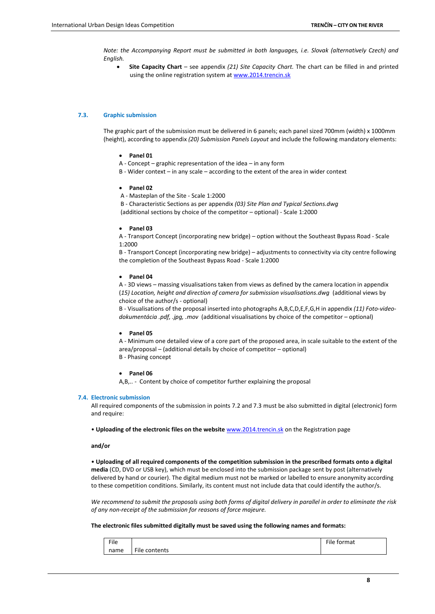*Note: the Accompanying Report must be submitted in both languages, i.e. Slovak (alternatively Czech) and English.*

 **Site Capacity Chart** – see appendix *(21) Site Capacity Chart.* The chart can be filled in and printed using the online registration system at [www.2014.trencin.sk](http://www.2014.trencin.sk/)

#### **7.3. Graphic submission**

The graphic part of the submission must be delivered in 6 panels; each panel sized 700mm (width) x 1000mm (height), according to appendix *(20) Submission Panels Layout* and include the following mandatory elements:

- **Panel 01**
- A Concept graphic representation of the idea in any form
- B Wider context in any scale according to the extent of the area in wider context
- **Panel 02**
- A Masteplan of the Site Scale 1:2000

B - Characteristic Sections as per appendix *(03) Site Plan and Typical Sections.dwg* (additional sections by choice of the competitor – optional) - Scale 1:2000

**Panel 03**

A - Transport Concept (incorporating new bridge) – option without the Southeast Bypass Road - Scale 1:2000

B - Transport Concept (incorporating new bridge) – adjustments to connectivity via city centre following the completion of the Southeast Bypass Road - Scale 1:2000

**Panel 04**

A - 3D views – massing visualisations taken from views as defined by the camera location in appendix (*15) Location, height and direction of camera for submission visualisations.dwg* (additional views by choice of the author/s - optional)

B - Visualisations of the proposal inserted into photographs A,B,C,D,E,F,G,H in appendix *(11) Foto-videodokumentácia .pdf, .jpg, .mov* (additional visualisations by choice of the competitor – optional)

#### **Panel 05**

A - Minimum one detailed view of a core part of the proposed area, in scale suitable to the extent of the area/proposal – (additional details by choice of competitor – optional) B - Phasing concept

#### **Panel 06**

A,B,.. - Content by choice of competitor further explaining the proposal

#### **7.4. Electronic submission**

All required components of the submission in points 7.2 and 7.3 must be also submitted in digital (electronic) form and require:

• **Uploading of the electronic files on the website** [www.2014.trencin.sk](http://www.trencinsity.sk/) on the Registration page

**and/or**

• **Uploading of all required components of the competition submission in the prescribed formats onto a digital media** (CD, DVD or USB key), which must be enclosed into the submission package sent by post (alternatively delivered by hand or courier). The digital medium must not be marked or labelled to ensure anonymity according to these competition conditions. Similarly, its content must not include data that could identify the author/s.

*We recommend to submit the proposals using both forms of digital delivery in parallel in order to eliminate the risk of any non-receipt of the submission for reasons of force majeure.*

#### **The electronic files submitted digitally must be saved using the following names and formats:**

| File |                                     | File<br>tormat |
|------|-------------------------------------|----------------|
| name | $- \cdot \cdot$<br>contents<br>File |                |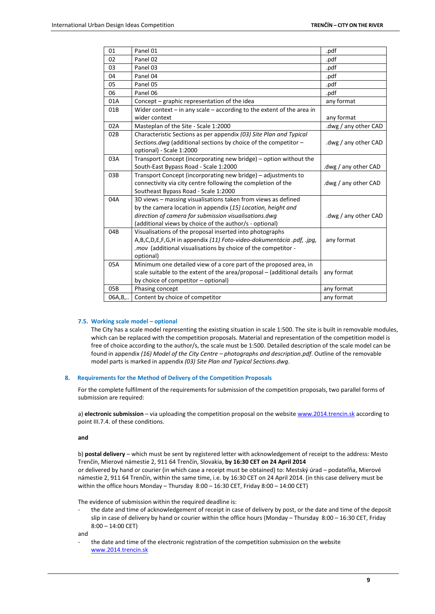| 01      | Panel 01                                                                  | .pdf                 |
|---------|---------------------------------------------------------------------------|----------------------|
| 02      | Panel 02                                                                  | .pdf                 |
| 03      | Panel 03                                                                  | .pdf                 |
| 04      | Panel 04                                                                  | .pdf                 |
| 05      | Panel 05                                                                  | .pdf                 |
| 06      | Panel 06                                                                  | .pdf                 |
| 01A     | Concept - graphic representation of the idea                              | any format           |
| 01B     | Wider context $-$ in any scale $-$ according to the extent of the area in |                      |
|         | wider context                                                             | any format           |
| 02A     | Masteplan of the Site - Scale 1:2000                                      | .dwg / any other CAD |
| 02B     | Characteristic Sections as per appendix (03) Site Plan and Typical        |                      |
|         | Sections.dwg (additional sections by choice of the competitor -           | dwg / any other CAD. |
|         | optional) - Scale 1:2000                                                  |                      |
| 03A     | Transport Concept (incorporating new bridge) - option without the         |                      |
|         | South-East Bypass Road - Scale 1:2000                                     | dwg / any other CAD. |
| 03B     | Transport Concept (incorporating new bridge) – adjustments to             |                      |
|         | connectivity via city centre following the completion of the              | .dwg / any other CAD |
|         | Southeast Bypass Road - Scale 1:2000                                      |                      |
| 04A     | 3D views - massing visualisations taken from views as defined             |                      |
|         | by the camera location in appendix (15) Location, height and              |                      |
|         | direction of camera for submission visualisations.dwg                     | .dwg / any other CAD |
|         | (additional views by choice of the author/s - optional)                   |                      |
| 04B     | Visualisations of the proposal inserted into photographs                  |                      |
|         | A,B,C,D,E,F,G,H in appendix (11) Foto-video-dokumentácia .pdf, .jpg,      | any format           |
|         | .mov (additional visualisations by choice of the competitor -             |                      |
|         | optional)                                                                 |                      |
| 05A     | Minimum one detailed view of a core part of the proposed area, in         |                      |
|         | scale suitable to the extent of the area/proposal - (additional details   | any format           |
| 05B     | by choice of competitor - optional)                                       |                      |
|         | Phasing concept                                                           | any format           |
| 06A, B, | Content by choice of competitor                                           | any format           |

#### **7.5. Working scale model – optional**

The City has a scale model representing the existing situation in scale 1:500. The site is built in removable modules, which can be replaced with the competition proposals. Material and representation of the competition model is free of choice according to the author/s, the scale must be 1:500. Detailed description of the scale model can be found in appendix *(16) Model of the City Centre – photographs and description.pdf*. Outline of the removable model parts is marked in appendix *(03) Site Plan and Typical Sections.dwg*.

## **8. Requirements for the Method of Delivery of the Competition Proposals**

For the complete fulfilment of the requirements for submission of the competition proposals, two parallel forms of submission are required:

a) **electronic submission** – via uploading the competition proposal on the website [www.2014.trencin.sk](http://www.trencinsity.sk/) according to point III.7.4. of these conditions.

**and**

b) **postal delivery** – which must be sent by registered letter with acknowledgement of receipt to the address: Mesto Trenčín, Mierové námestie 2, 911 64 Trenčín, Slovakia, **by 16:30 CET on 24 April 2014** or delivered by hand or courier (in which case a receipt must be obtained) to: Mestský úrad – podateľňa, Mierové námestie 2, 911 64 Trenčín, within the same time, i.e. by 16:30 CET on 24 April 2014. (in this case delivery must be within the office hours Monday – Thursday 8:00 – 16:30 CET, Friday 8:00 – 14:00 CET)

The evidence of submission within the required deadline is:

the date and time of acknowledgement of receipt in case of delivery by post, or the date and time of the deposit slip in case of delivery by hand or courier within the office hours (Monday – Thursday 8:00 – 16:30 CET, Friday 8:00 – 14:00 CET)

and

the date and time of the electronic registration of the competition submission on the website [www.2014.trencin.sk](http://www.trencinsity.sk/)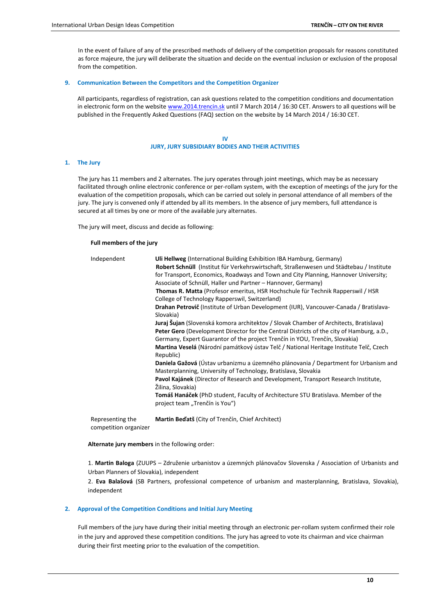In the event of failure of any of the prescribed methods of delivery of the competition proposals for reasons constituted as force majeure, the jury will deliberate the situation and decide on the eventual inclusion or exclusion of the proposal from the competition.

# **9. Communication Between the Competitors and the Competition Organizer**

All participants, regardless of registration, can ask questions related to the competition conditions and documentation in electronic form on the website [www.2014.trencin.sk](http://www.trencinsity.sk/) until 7 March 2014 / 16:30 CET. Answers to all questions will be published in the Frequently Asked Questions (FAQ) section on the website by 14 March 2014 / 16:30 CET.

> **IV JURY, JURY SUBSIDIARY BODIES AND THEIR ACTIVITIES**

# **1. The Jury**

The jury has 11 members and 2 alternates. The jury operates through joint meetings, which may be as necessary facilitated through online electronic conference or per-rollam system, with the exception of meetings of the jury for the evaluation of the competition proposals, which can be carried out solely in personal attendance of all members of the jury. The jury is convened only if attended by all its members. In the absence of jury members, full attendance is secured at all times by one or more of the available jury alternates.

The jury will meet, discuss and decide as following:

# **Full members of the jury**

| Independent                               | Uli Hellweg (International Building Exhibition IBA Hamburg, Germany)<br>Robert Schnüll (Institut für Verkehrswirtschaft, Straßenwesen und Städtebau / Institute<br>for Transport, Economics, Roadways and Town and City Planning, Hannover University;<br>Associate of Schnüll, Haller und Partner – Hannover, Germany)<br><b>Thomas R. Matta</b> (Profesor emeritus, HSR Hochschule für Technik Rapperswil / HSR<br>College of Technology Rapperswil, Switzerland)<br>Drahan Petrovič (Institute of Urban Development (IUR), Vancouver-Canada / Bratislava-<br>Slovakia)<br>Juraj Šujan (Slovenská komora architektov / Slovak Chamber of Architects, Bratislava)<br><b>Peter Gero</b> (Development Director for the Central Districts of the city of Hamburg, a.D.,<br>Germany, Expert Guarantor of the project Trenčín in YOU, Trenčín, Slovakia)<br>Martina Veselá (Národní památkový ústav Telč / National Heritage Institute Telč, Czech<br>Republic)<br>Daniela Gažová (Ústav urbanizmu a územného plánovania / Department for Urbanism and<br>Masterplanning, University of Technology, Bratislava, Slovakia<br>Pavol Kajánek (Director of Research and Development, Transport Research Institute,<br>Žilina, Slovakia)<br>Tomáš Hanáček (PhD student, Faculty of Architecture STU Bratislava. Member of the |
|-------------------------------------------|----------------------------------------------------------------------------------------------------------------------------------------------------------------------------------------------------------------------------------------------------------------------------------------------------------------------------------------------------------------------------------------------------------------------------------------------------------------------------------------------------------------------------------------------------------------------------------------------------------------------------------------------------------------------------------------------------------------------------------------------------------------------------------------------------------------------------------------------------------------------------------------------------------------------------------------------------------------------------------------------------------------------------------------------------------------------------------------------------------------------------------------------------------------------------------------------------------------------------------------------------------------------------------------------------------------------|
|                                           | project team "Trenčín is You")                                                                                                                                                                                                                                                                                                                                                                                                                                                                                                                                                                                                                                                                                                                                                                                                                                                                                                                                                                                                                                                                                                                                                                                                                                                                                       |
| Representing the<br>competition organizer | Martin Bed'atš (City of Trenčín, Chief Architect)                                                                                                                                                                                                                                                                                                                                                                                                                                                                                                                                                                                                                                                                                                                                                                                                                                                                                                                                                                                                                                                                                                                                                                                                                                                                    |

**Alternate jury members** in the following order:

1. **Martin Baloga** (ZUUPS – Združenie urbanistov a územných plánovačov Slovenska / Association of Urbanists and Urban Planners of Slovakia), independent

2. **Eva Balašová** (SB Partners, professional competence of urbanism and masterplanning, Bratislava, Slovakia), independent

# **2. Approval of the Competition Conditions and Initial Jury Meeting**

Full members of the jury have during their initial meeting through an electronic per-rollam system confirmed their role in the jury and approved these competition conditions. The jury has agreed to vote its chairman and vice chairman during their first meeting prior to the evaluation of the competition.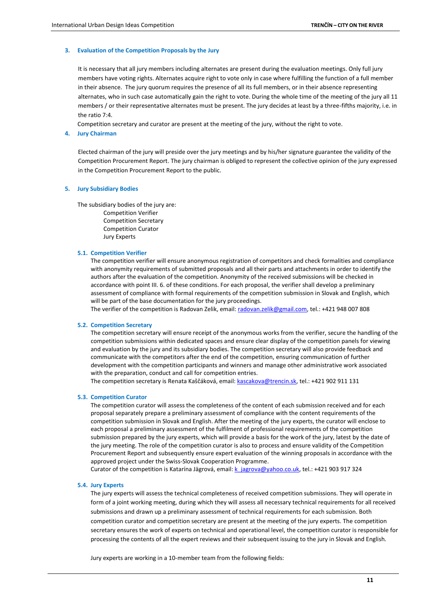# **3. Evaluation of the Competition Proposals by the Jury**

It is necessary that all jury members including alternates are present during the evaluation meetings. Only full jury members have voting rights. Alternates acquire right to vote only in case where fulfilling the function of a full member in their absence. The jury quorum requires the presence of all its full members, or in their absence representing alternates, who in such case automatically gain the right to vote. During the whole time of the meeting of the jury all 11 members / or their representative alternates must be present. The jury decides at least by a three-fifths majority, i.e. in the ratio 7:4.

Competition secretary and curator are present at the meeting of the jury, without the right to vote.

# **4. Jury Chairman**

Elected chairman of the jury will preside over the jury meetings and by his/her signature guarantee the validity of the Competition Procurement Report. The jury chairman is obliged to represent the collective opinion of the jury expressed in the Competition Procurement Report to the public.

#### **5. Jury Subsidiary Bodies**

The subsidiary bodies of the jury are:

Competition Verifier Competition Secretary Competition Curator Jury Experts

## **5.1. Competition Verifier**

The competition verifier will ensure anonymous registration of competitors and check formalities and compliance with anonymity requirements of submitted proposals and all their parts and attachments in order to identify the authors after the evaluation of the competition. Anonymity of the received submissions will be checked in accordance with point III. 6. of these conditions. For each proposal, the verifier shall develop a preliminary assessment of compliance with formal requirements of the competition submission in Slovak and English, which will be part of the base documentation for the jury proceedings.

The verifier of the competition is Radovan Zelik, email[: radovan.zelik@gmail.com,](mailto:radovan.zelik@gmail.com) tel.: +421 948 007 808

#### **5.2. Competition Secretary**

The competition secretary will ensure receipt of the anonymous works from the verifier, secure the handling of the competition submissions within dedicated spaces and ensure clear display of the competition panels for viewing and evaluation by the jury and its subsidiary bodies. The competition secretary will also provide feedback and communicate with the competitors after the end of the competition, ensuring communication of further development with the competition participants and winners and manage other administrative work associated with the preparation, conduct and call for competition entries.

The competition secretary is Renata Kaščáková, email: [kascakova@trencin.sk,](mailto:kascakova@trencin.sk) tel.: +421 902 911 131

# **5.3. Competition Curator**

The competition curator will assess the completeness of the content of each submission received and for each proposal separately prepare a preliminary assessment of compliance with the content requirements of the competition submission in Slovak and English. After the meeting of the jury experts, the curator will enclose to each proposal a preliminary assessment of the fulfilment of professional requirements of the competition submission prepared by the jury experts, which will provide a basis for the work of the jury, latest by the date of the jury meeting. The role of the competition curator is also to process and ensure validity of the Competition Procurement Report and subsequently ensure expert evaluation of the winning proposals in accordance with the approved project under the Swiss-Slovak Cooperation Programme.

Curator of the competition is Katarína Jägrová, email[: k\\_jagrova@yahoo.co.uk,](mailto:k_jagrova@yahoo.co.uk) tel.: +421 903 917 324

#### **5.4. Jury Experts**

The jury experts will assess the technical completeness of received competition submissions. They will operate in form of a joint working meeting, during which they will assess all necessary technical requirements for all received submissions and drawn up a preliminary assessment of technical requirements for each submission. Both competition curator and competition secretary are present at the meeting of the jury experts. The competition secretary ensures the work of experts on technical and operational level, the competition curator is responsible for processing the contents of all the expert reviews and their subsequent issuing to the jury in Slovak and English.

Jury experts are working in a 10-member team from the following fields: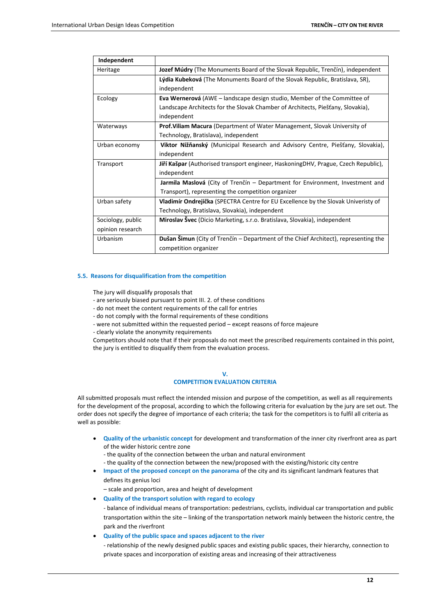| Independent                                                                                     |                                                                                            |  |  |
|-------------------------------------------------------------------------------------------------|--------------------------------------------------------------------------------------------|--|--|
| Heritage                                                                                        | Jozef Múdry (The Monuments Board of the Slovak Republic, Trenčín), independent             |  |  |
|                                                                                                 | Lýdia Kubeková (The Monuments Board of the Slovak Republic, Bratislava, SR),               |  |  |
|                                                                                                 | independent                                                                                |  |  |
| Ecology                                                                                         | <b>Eva Wernerová</b> (AWE – landscape design studio, Member of the Committee of            |  |  |
|                                                                                                 | Landscape Architects for the Slovak Chamber of Architects, Piešťany, Slovakia),            |  |  |
|                                                                                                 | independent                                                                                |  |  |
| Prof. Viliam Macura (Department of Water Management, Slovak University of<br>Waterways          |                                                                                            |  |  |
|                                                                                                 | Technology, Bratislava), independent                                                       |  |  |
| Viktor Nižňanský (Municipal Research and Advisory Centre, Piešťany, Slovakia),<br>Urban economy |                                                                                            |  |  |
|                                                                                                 | independent                                                                                |  |  |
| Transport                                                                                       | Jiří Kašpar (Authorised transport engineer, HaskoningDHV, Prague, Czech Republic),         |  |  |
|                                                                                                 | independent                                                                                |  |  |
|                                                                                                 | Jarmila Maslová (City of Trenčín – Department for Environment, Investment and              |  |  |
|                                                                                                 | Transport), representing the competition organizer                                         |  |  |
| Urban safety                                                                                    | <b>Vladimír Ondrejička</b> (SPECTRA Centre for EU Excellence by the Slovak Univeristy of   |  |  |
|                                                                                                 | Technology, Bratislava, Slovakia), independent                                             |  |  |
| Sociology, public                                                                               | <b>Miroslav Švec</b> (Dicio Marketing, s.r.o. Bratislava, Slovakia), independent           |  |  |
| opinion research                                                                                |                                                                                            |  |  |
| Urbanism                                                                                        | <b>Dušan Šimun</b> (City of Trenčín – Department of the Chief Architect), representing the |  |  |
|                                                                                                 | competition organizer                                                                      |  |  |

# **5.5. Reasons for disqualification from the competition**

The jury will disqualify proposals that

- are seriously biased pursuant to point III. 2. of these conditions
- do not meet the content requirements of the call for entries
- do not comply with the formal requirements of these conditions
- were not submitted within the requested period except reasons of force majeure

- clearly violate the anonymity requirements

Competitors should note that if their proposals do not meet the prescribed requirements contained in this point, the jury is entitled to disqualify them from the evaluation process.

#### **V.**

# **COMPETITION EVALUATION CRITERIA**

All submitted proposals must reflect the intended mission and purpose of the competition, as well as all requirements for the development of the proposal, according to which the following criteria for evaluation by the jury are set out. The order does not specify the degree of importance of each criteria; the task for the competitors is to fulfil all criteria as well as possible:

- **Quality of the urbanistic concept** for development and transformation of the inner city riverfront area as part of the wider historic centre zone
	- the quality of the connection between the urban and natural environment
	- the quality of the connection between the new/proposed with the existing/historic city centre
- **Impact of the proposed concept on the panorama** of the city and its significant landmark features that defines its genius loci

– scale and proportion, area and height of development

**Quality of the transport solution with regard to ecology**

- balance of individual means of transportation: pedestrians, cyclists, individual car transportation and public transportation within the site – linking of the transportation network mainly between the historic centre, the park and the riverfront

# **Quality of the public space and spaces adjacent to the river**

- relationship of the newly designed public spaces and existing public spaces, their hierarchy, connection to private spaces and incorporation of existing areas and increasing of their attractiveness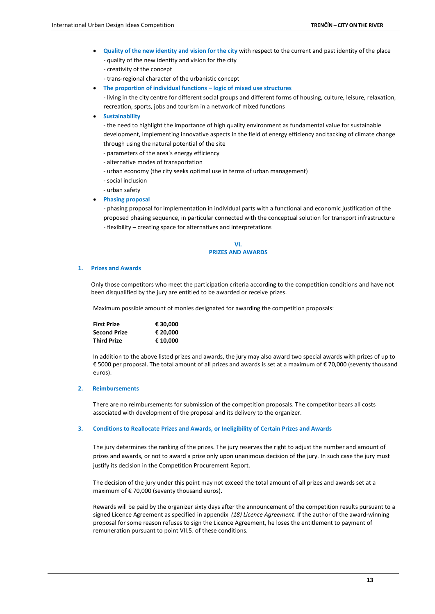- **Quality of the new identity and vision for the city** with respect to the current and past identity of the place - quality of the new identity and vision for the city
	- creativity of the concept
	- trans-regional character of the urbanistic concept
- **The proportion of individual functions – logic of mixed use structures**

- living in the city centre for different social groups and different forms of housing, culture, leisure, relaxation, recreation, sports, jobs and tourism in a network of mixed functions

**Sustainability**

- the need to highlight the importance of high quality environment as fundamental value for sustainable development, implementing innovative aspects in the field of energy efficiency and tacking of climate change through using the natural potential of the site

- parameters of the area's energy efficiency
- alternative modes of transportation
- urban economy (the city seeks optimal use in terms of urban management)
- social inclusion
- urban safety

# **Phasing proposal**

- phasing proposal for implementation in individual parts with a functional and economic justification of the proposed phasing sequence, in particular connected with the conceptual solution for transport infrastructure - flexibility – creating space for alternatives and interpretations

## **VI. PRIZES AND AWARDS**

#### **1. Prizes and Awards**

Only those competitors who meet the participation criteria according to the competition conditions and have not been disqualified by the jury are entitled to be awarded or receive prizes.

Maximum possible amount of monies designated for awarding the competition proposals:

| <b>First Prize</b>  | € 30.000 |
|---------------------|----------|
| <b>Second Prize</b> | € 20.000 |
| <b>Third Prize</b>  | € 10.000 |

In addition to the above listed prizes and awards, the jury may also award two special awards with prizes of up to € 5000 per proposal. The total amount of all prizes and awards is set at a maximum of € 70,000 (seventy thousand euros).

# **2. Reimbursements**

There are no reimbursements for submission of the competition proposals. The competitor bears all costs associated with development of the proposal and its delivery to the organizer.

# **3. Conditions to Reallocate Prizes and Awards, or Ineligibility of Certain Prizes and Awards**

The jury determines the ranking of the prizes. The jury reserves the right to adjust the number and amount of prizes and awards, or not to award a prize only upon unanimous decision of the jury. In such case the jury must justify its decision in the Competition Procurement Report.

The decision of the jury under this point may not exceed the total amount of all prizes and awards set at a maximum of € 70,000 (seventy thousand euros).

Rewards will be paid by the organizer sixty days after the announcement of the competition results pursuant to a signed Licence Agreement as specified in appendix *(18) Licence Agreement*. If the author of the award-winning proposal for some reason refuses to sign the Licence Agreement, he loses the entitlement to payment of remuneration pursuant to point VII.5. of these conditions.